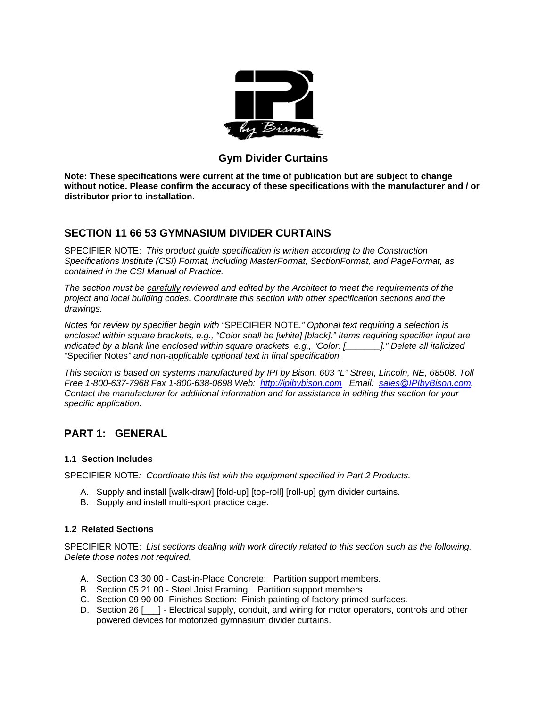

## **Gym Divider Curtains**

**Note: These specifications were current at the time of publication but are subject to change without notice. Please confirm the accuracy of these specifications with the manufacturer and / or distributor prior to installation.**

## **SECTION 11 66 53 GYMNASIUM DIVIDER CURTAINS**

SPECIFIER NOTE: *This product guide specification is written according to the Construction Specifications Institute (CSI) Format, including MasterFormat, SectionFormat, and PageFormat, as contained in the CSI Manual of Practice.* 

*The section must be carefully reviewed and edited by the Architect to meet the requirements of the project and local building codes. Coordinate this section with other specification sections and the drawings.* 

*Notes for review by specifier begin with "*SPECIFIER NOTE*." Optional text requiring a selection is enclosed within square brackets, e.g., "Color shall be [white] [black]." Items requiring specifier input are indicated by a blank line enclosed within square brackets, e.g., "Color: [\_\_\_\_\_\_\_]." Delete all italicized "*Specifier Notes*" and non-applicable optional text in final specification.* 

*This section is based on systems manufactured by IPI by Bison, 603 "L" Street, Lincoln, NE, 68508. Toll Free 1-800-637-7968 Fax 1-800-638-0698 Web: http://ipibybison.com Email: sales@IPIbyBison.com. Contact the manufacturer for additional information and for assistance in editing this section for your specific application.* 

## **PART 1: GENERAL**

## **1.1 Section Includes**

SPECIFIER NOTE*: Coordinate this list with the equipment specified in Part 2 Products.* 

- A. Supply and install [walk-draw] [fold-up] [top-roll] [roll-up] gym divider curtains.
- B. Supply and install multi-sport practice cage.

#### **1.2 Related Sections**

SPECIFIER NOTE: *List sections dealing with work directly related to this section such as the following. Delete those notes not required.* 

- A. Section 03 30 00 Cast-in-Place Concrete: Partition support members.
- B. Section 05 21 00 Steel Joist Framing: Partition support members.
- C. Section 09 90 00- Finishes Section: Finish painting of factory-primed surfaces.
- D. Section 26 [10] Electrical supply, conduit, and wiring for motor operators, controls and other powered devices for motorized gymnasium divider curtains.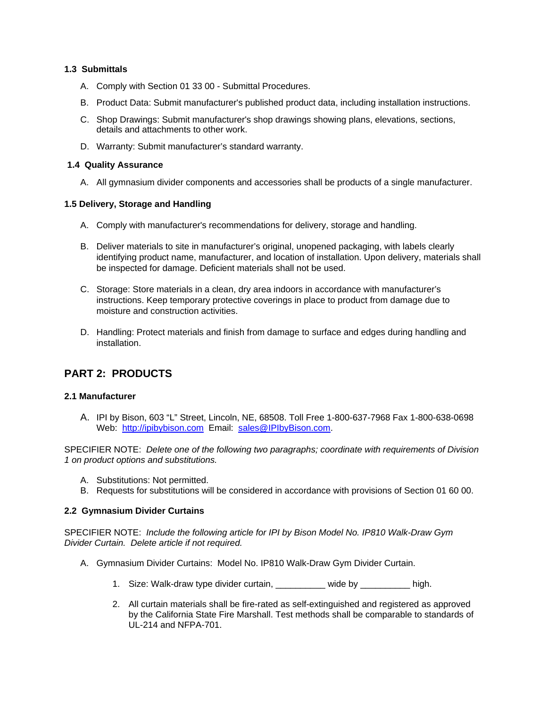## **1.3 Submittals**

- A. Comply with Section 01 33 00 Submittal Procedures.
- B. Product Data: Submit manufacturer's published product data, including installation instructions.
- C. Shop Drawings: Submit manufacturer's shop drawings showing plans, elevations, sections, details and attachments to other work.
- D. Warranty: Submit manufacturer's standard warranty.

#### **1.4 Quality Assurance**

A. All gymnasium divider components and accessories shall be products of a single manufacturer.

#### **1.5 Delivery, Storage and Handling**

- A. Comply with manufacturer's recommendations for delivery, storage and handling.
- B. Deliver materials to site in manufacturer's original, unopened packaging, with labels clearly identifying product name, manufacturer, and location of installation. Upon delivery, materials shall be inspected for damage. Deficient materials shall not be used.
- C. Storage: Store materials in a clean, dry area indoors in accordance with manufacturer's instructions. Keep temporary protective coverings in place to product from damage due to moisture and construction activities.
- D. Handling: Protect materials and finish from damage to surface and edges during handling and installation.

# **PART 2: PRODUCTS**

#### **2.1 Manufacturer**

A. IPI by Bison, 603 "L" Street, Lincoln, NE, 68508. Toll Free 1-800-637-7968 Fax 1-800-638-0698 Web: http://ipibybison.com Email: sales@IPIbyBison.com.

SPECIFIER NOTE: *Delete one of the following two paragraphs; coordinate with requirements of Division 1 on product options and substitutions.* 

- A. Substitutions: Not permitted.
- B. Requests for substitutions will be considered in accordance with provisions of Section 01 60 00.

## **2.2 Gymnasium Divider Curtains**

SPECIFIER NOTE: *Include the following article for IPI by Bison Model No. IP810 Walk-Draw Gym Divider Curtain. Delete article if not required.* 

- A. Gymnasium Divider Curtains: Model No. IP810 Walk-Draw Gym Divider Curtain.
	- 1. Size: Walk-draw type divider curtain, example by thigh.
	- 2. All curtain materials shall be fire-rated as self-extinguished and registered as approved by the California State Fire Marshall. Test methods shall be comparable to standards of UL-214 and NFPA-701.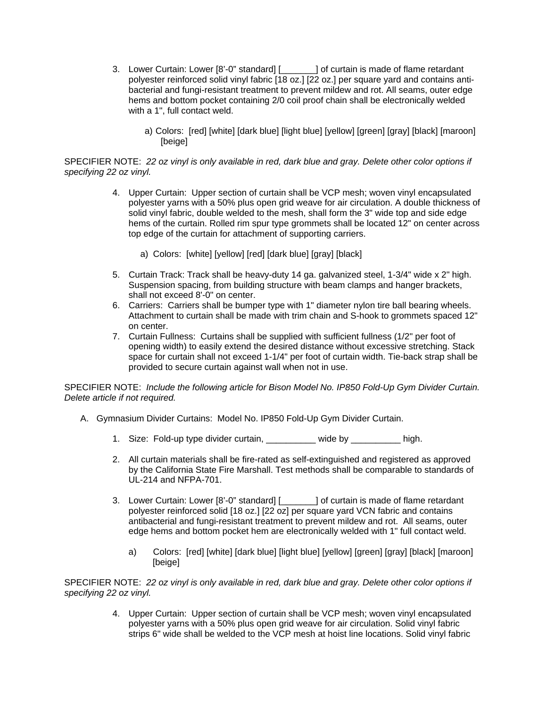- 3. Lower Curtain: Lower [8'-0" standard] [\_\_\_\_\_\_\_] of curtain is made of flame retardant polyester reinforced solid vinyl fabric [18 oz.] [22 oz.] per square yard and contains antibacterial and fungi-resistant treatment to prevent mildew and rot. All seams, outer edge hems and bottom pocket containing 2/0 coil proof chain shall be electronically welded with a 1", full contact weld.
	- a) Colors: [red] [white] [dark blue] [light blue] [yellow] [green] [gray] [black] [maroon] [beige]

#### SPECIFIER NOTE: *22 oz vinyl is only available in red, dark blue and gray. Delete other color options if specifying 22 oz vinyl.*

- 4. Upper Curtain: Upper section of curtain shall be VCP mesh; woven vinyl encapsulated polyester yarns with a 50% plus open grid weave for air circulation. A double thickness of solid vinyl fabric, double welded to the mesh, shall form the 3" wide top and side edge hems of the curtain. Rolled rim spur type grommets shall be located 12" on center across top edge of the curtain for attachment of supporting carriers.
	- a) Colors: [white] [yellow] [red] [dark blue] [gray] [black]
- 5. Curtain Track: Track shall be heavy-duty 14 ga. galvanized steel, 1-3/4" wide x 2" high. Suspension spacing, from building structure with beam clamps and hanger brackets, shall not exceed 8'-0" on center.
- 6. Carriers: Carriers shall be bumper type with 1" diameter nylon tire ball bearing wheels. Attachment to curtain shall be made with trim chain and S-hook to grommets spaced 12" on center.
- 7. Curtain Fullness: Curtains shall be supplied with sufficient fullness (1/2" per foot of opening width) to easily extend the desired distance without excessive stretching. Stack space for curtain shall not exceed 1-1/4" per foot of curtain width. Tie-back strap shall be provided to secure curtain against wall when not in use.

SPECIFIER NOTE: *Include the following article for Bison Model No. IP850 Fold-Up Gym Divider Curtain. Delete article if not required.* 

- A. Gymnasium Divider Curtains: Model No. IP850 Fold-Up Gym Divider Curtain.
	- 1. Size: Fold-up type divider curtain, example by thigh.
	- 2. All curtain materials shall be fire-rated as self-extinguished and registered as approved by the California State Fire Marshall. Test methods shall be comparable to standards of UL-214 and NFPA-701.
	- 3. Lower Curtain: Lower [8'-0" standard] [\_\_\_\_\_\_\_] of curtain is made of flame retardant polyester reinforced solid [18 oz.] [22 oz] per square yard VCN fabric and contains antibacterial and fungi-resistant treatment to prevent mildew and rot. All seams, outer edge hems and bottom pocket hem are electronically welded with 1" full contact weld.
		- a) Colors: [red] [white] [dark blue] [light blue] [yellow] [green] [gray] [black] [maroon] [beige]

SPECIFIER NOTE: *22 oz vinyl is only available in red, dark blue and gray. Delete other color options if specifying 22 oz vinyl.* 

> 4. Upper Curtain: Upper section of curtain shall be VCP mesh; woven vinyl encapsulated polyester yarns with a 50% plus open grid weave for air circulation. Solid vinyl fabric strips 6" wide shall be welded to the VCP mesh at hoist line locations. Solid vinyl fabric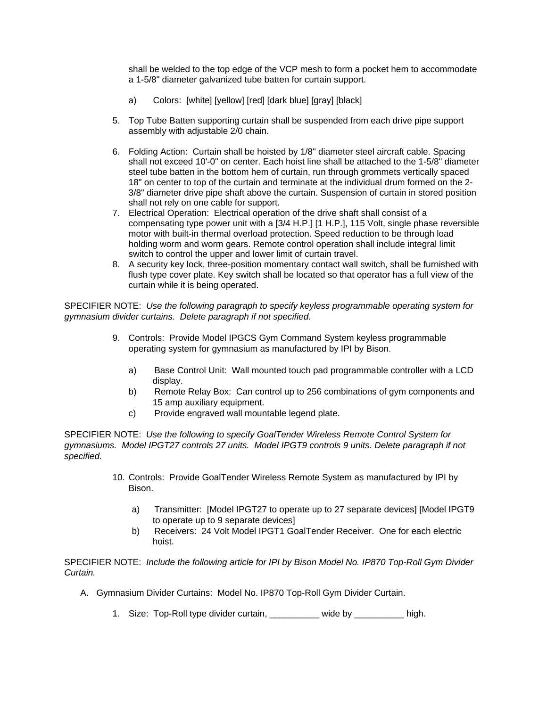shall be welded to the top edge of the VCP mesh to form a pocket hem to accommodate a 1-5/8" diameter galvanized tube batten for curtain support.

- a) Colors: [white] [yellow] [red] [dark blue] [gray] [black]
- 5. Top Tube Batten supporting curtain shall be suspended from each drive pipe support assembly with adjustable 2/0 chain.
- 6. Folding Action: Curtain shall be hoisted by 1/8" diameter steel aircraft cable. Spacing shall not exceed 10'-0" on center. Each hoist line shall be attached to the 1-5/8" diameter steel tube batten in the bottom hem of curtain, run through grommets vertically spaced 18" on center to top of the curtain and terminate at the individual drum formed on the 2- 3/8" diameter drive pipe shaft above the curtain. Suspension of curtain in stored position shall not rely on one cable for support.
- 7. Electrical Operation: Electrical operation of the drive shaft shall consist of a compensating type power unit with a [3/4 H.P.] [1 H.P.], 115 Volt, single phase reversible motor with built-in thermal overload protection. Speed reduction to be through load holding worm and worm gears. Remote control operation shall include integral limit switch to control the upper and lower limit of curtain travel.
- 8. A security key lock, three-position momentary contact wall switch, shall be furnished with flush type cover plate. Key switch shall be located so that operator has a full view of the curtain while it is being operated.

SPECIFIER NOTE: *Use the following paragraph to specify keyless programmable operating system for gymnasium divider curtains. Delete paragraph if not specified.*

- 9. Controls: Provide Model IPGCS Gym Command System keyless programmable operating system for gymnasium as manufactured by IPI by Bison.
	- a) Base Control Unit: Wall mounted touch pad programmable controller with a LCD display.
	- b) Remote Relay Box: Can control up to 256 combinations of gym components and 15 amp auxiliary equipment.
	- c) Provide engraved wall mountable legend plate.

SPECIFIER NOTE: *Use the following to specify GoalTender Wireless Remote Control System for gymnasiums. Model IPGT27 controls 27 units. Model IPGT9 controls 9 units. Delete paragraph if not specified.* 

- 10. Controls: Provide GoalTender Wireless Remote System as manufactured by IPI by Bison.
	- a) Transmitter: [Model IPGT27 to operate up to 27 separate devices] [Model IPGT9 to operate up to 9 separate devices]
	- b) Receivers: 24 Volt Model IPGT1 GoalTender Receiver. One for each electric hoist.

SPECIFIER NOTE: *Include the following article for IPI by Bison Model No. IP870 Top-Roll Gym Divider Curtain.* 

- A. Gymnasium Divider Curtains: Model No. IP870 Top-Roll Gym Divider Curtain.
	- 1. Size: Top-Roll type divider curtain, \_\_\_\_\_\_\_\_\_\_ wide by \_\_\_\_\_\_\_\_\_\_ high.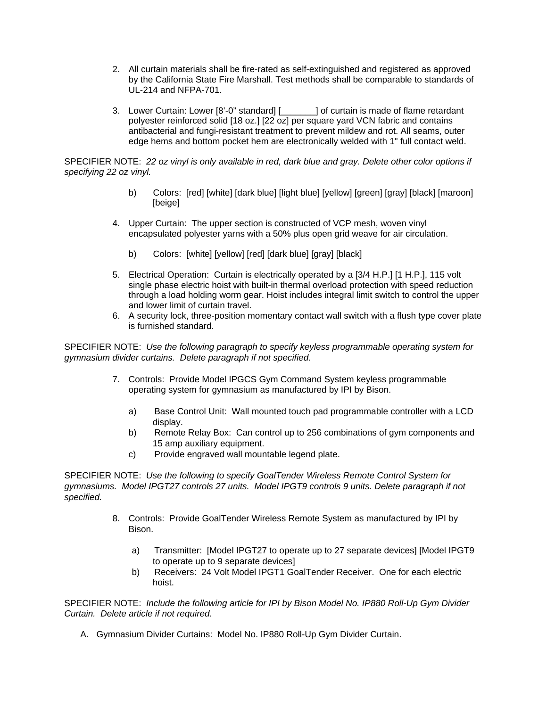- 2. All curtain materials shall be fire-rated as self-extinguished and registered as approved by the California State Fire Marshall. Test methods shall be comparable to standards of UL-214 and NFPA-701.
- 3. Lower Curtain: Lower [8'-0" standard] [\_\_\_\_\_\_\_] of curtain is made of flame retardant polyester reinforced solid [18 oz.] [22 oz] per square yard VCN fabric and contains antibacterial and fungi-resistant treatment to prevent mildew and rot. All seams, outer edge hems and bottom pocket hem are electronically welded with 1" full contact weld.

SPECIFIER NOTE: *22 oz vinyl is only available in red, dark blue and gray. Delete other color options if specifying 22 oz vinyl.* 

- b) Colors: [red] [white] [dark blue] [light blue] [yellow] [green] [gray] [black] [maroon] [beige]
- 4. Upper Curtain: The upper section is constructed of VCP mesh, woven vinyl encapsulated polyester yarns with a 50% plus open grid weave for air circulation.
	- b) Colors: [white] [yellow] [red] [dark blue] [gray] [black]
- 5. Electrical Operation: Curtain is electrically operated by a [3/4 H.P.] [1 H.P.], 115 volt single phase electric hoist with built-in thermal overload protection with speed reduction through a load holding worm gear. Hoist includes integral limit switch to control the upper and lower limit of curtain travel.
- 6. A security lock, three-position momentary contact wall switch with a flush type cover plate is furnished standard.

SPECIFIER NOTE: *Use the following paragraph to specify keyless programmable operating system for gymnasium divider curtains. Delete paragraph if not specified.*

- 7. Controls: Provide Model IPGCS Gym Command System keyless programmable operating system for gymnasium as manufactured by IPI by Bison.
	- a) Base Control Unit: Wall mounted touch pad programmable controller with a LCD display.
	- b) Remote Relay Box: Can control up to 256 combinations of gym components and 15 amp auxiliary equipment.
	- c) Provide engraved wall mountable legend plate.

SPECIFIER NOTE: *Use the following to specify GoalTender Wireless Remote Control System for gymnasiums. Model IPGT27 controls 27 units. Model IPGT9 controls 9 units. Delete paragraph if not specified.* 

- 8. Controls: Provide GoalTender Wireless Remote System as manufactured by IPI by Bison.
	- a) Transmitter: [Model IPGT27 to operate up to 27 separate devices] [Model IPGT9 to operate up to 9 separate devices]
	- b) Receivers: 24 Volt Model IPGT1 GoalTender Receiver. One for each electric hoist.

SPECIFIER NOTE: *Include the following article for IPI by Bison Model No. IP880 Roll-Up Gym Divider Curtain. Delete article if not required.* 

A. Gymnasium Divider Curtains: Model No. IP880 Roll-Up Gym Divider Curtain.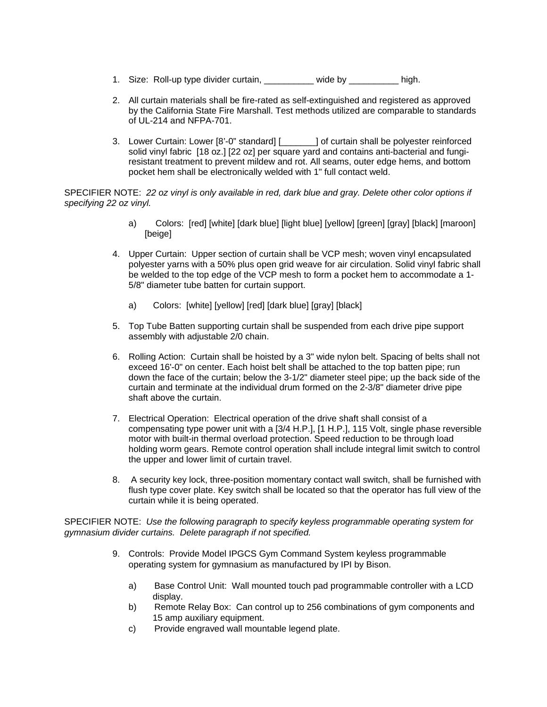- 1. Size: Roll-up type divider curtain, \_\_\_\_\_\_\_\_\_ wide by \_\_\_\_\_\_\_\_ high.
- 2. All curtain materials shall be fire-rated as self-extinguished and registered as approved by the California State Fire Marshall. Test methods utilized are comparable to standards of UL-214 and NFPA-701.
- 3. Lower Curtain: Lower [8'-0" standard] [\_\_\_\_\_\_\_] of curtain shall be polyester reinforced solid vinyl fabric [18 oz.] [22 oz] per square yard and contains anti-bacterial and fungiresistant treatment to prevent mildew and rot. All seams, outer edge hems, and bottom pocket hem shall be electronically welded with 1" full contact weld.

SPECIFIER NOTE: *22 oz vinyl is only available in red, dark blue and gray. Delete other color options if specifying 22 oz vinyl.* 

- a) Colors: [red] [white] [dark blue] [light blue] [yellow] [green] [gray] [black] [maroon] [beige]
- 4. Upper Curtain: Upper section of curtain shall be VCP mesh; woven vinyl encapsulated polyester yarns with a 50% plus open grid weave for air circulation. Solid vinyl fabric shall be welded to the top edge of the VCP mesh to form a pocket hem to accommodate a 1- 5/8" diameter tube batten for curtain support.
	- a) Colors: [white] [yellow] [red] [dark blue] [gray] [black]
- 5. Top Tube Batten supporting curtain shall be suspended from each drive pipe support assembly with adjustable 2/0 chain.
- 6. Rolling Action: Curtain shall be hoisted by a 3" wide nylon belt. Spacing of belts shall not exceed 16'-0" on center. Each hoist belt shall be attached to the top batten pipe; run down the face of the curtain; below the 3-1/2" diameter steel pipe; up the back side of the curtain and terminate at the individual drum formed on the 2-3/8" diameter drive pipe shaft above the curtain.
- 7. Electrical Operation: Electrical operation of the drive shaft shall consist of a compensating type power unit with a [3/4 H.P.], [1 H.P.], 115 Volt, single phase reversible motor with built-in thermal overload protection. Speed reduction to be through load holding worm gears. Remote control operation shall include integral limit switch to control the upper and lower limit of curtain travel.
- 8. A security key lock, three-position momentary contact wall switch, shall be furnished with flush type cover plate. Key switch shall be located so that the operator has full view of the curtain while it is being operated.

SPECIFIER NOTE: *Use the following paragraph to specify keyless programmable operating system for gymnasium divider curtains. Delete paragraph if not specified.*

- 9. Controls: Provide Model IPGCS Gym Command System keyless programmable operating system for gymnasium as manufactured by IPI by Bison.
	- a) Base Control Unit: Wall mounted touch pad programmable controller with a LCD display.
	- b) Remote Relay Box: Can control up to 256 combinations of gym components and 15 amp auxiliary equipment.
	- c) Provide engraved wall mountable legend plate.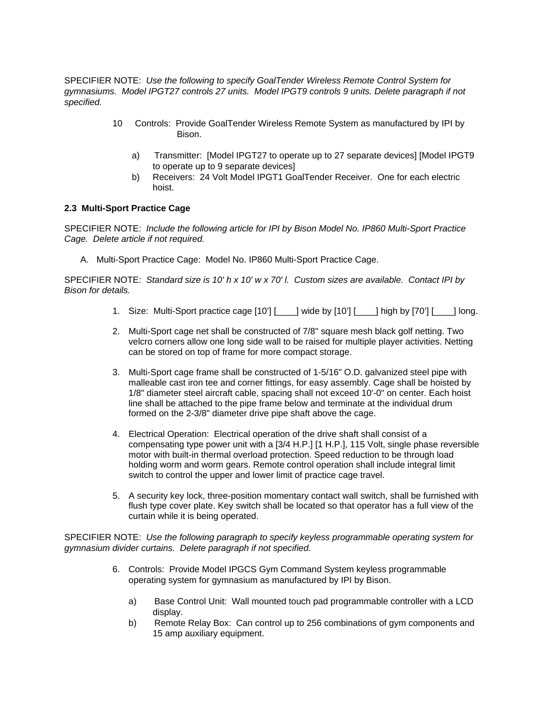SPECIFIER NOTE: *Use the following to specify GoalTender Wireless Remote Control System for gymnasiums. Model IPGT27 controls 27 units. Model IPGT9 controls 9 units. Delete paragraph if not specified.* 

- 10 Controls: Provide GoalTender Wireless Remote System as manufactured by IPI by Bison.
	- a) Transmitter: [Model IPGT27 to operate up to 27 separate devices] [Model IPGT9 to operate up to 9 separate devices]
	- b) Receivers: 24 Volt Model IPGT1 GoalTender Receiver. One for each electric hoist.

#### **2.3 Multi-Sport Practice Cage**

SPECIFIER NOTE: *Include the following article for IPI by Bison Model No. IP860 Multi-Sport Practice Cage. Delete article if not required.* 

A. Multi-Sport Practice Cage: Model No. IP860 Multi-Sport Practice Cage.

SPECIFIER NOTE: *Standard size is 10' h x 10' w x 70' l. Custom sizes are available. Contact IPI by Bison for details.* 

- 1. Size: Multi-Sport practice cage [10'] [\_\_\_\_] wide by [10'] [\_\_\_\_] high by [70'] [\_\_\_\_\_] long.
- 2. Multi-Sport cage net shall be constructed of 7/8" square mesh black golf netting. Two velcro corners allow one long side wall to be raised for multiple player activities. Netting can be stored on top of frame for more compact storage.
- 3. Multi-Sport cage frame shall be constructed of 1-5/16" O.D. galvanized steel pipe with malleable cast iron tee and corner fittings, for easy assembly. Cage shall be hoisted by 1/8" diameter steel aircraft cable, spacing shall not exceed 10'-0" on center. Each hoist line shall be attached to the pipe frame below and terminate at the individual drum formed on the 2-3/8" diameter drive pipe shaft above the cage.
- 4. Electrical Operation: Electrical operation of the drive shaft shall consist of a compensating type power unit with a [3/4 H.P.] [1 H.P.], 115 Volt, single phase reversible motor with built-in thermal overload protection. Speed reduction to be through load holding worm and worm gears. Remote control operation shall include integral limit switch to control the upper and lower limit of practice cage travel.
- 5. A security key lock, three-position momentary contact wall switch, shall be furnished with flush type cover plate. Key switch shall be located so that operator has a full view of the curtain while it is being operated.

SPECIFIER NOTE: *Use the following paragraph to specify keyless programmable operating system for gymnasium divider curtains. Delete paragraph if not specified.*

- 6. Controls: Provide Model IPGCS Gym Command System keyless programmable operating system for gymnasium as manufactured by IPI by Bison.
	- a) Base Control Unit: Wall mounted touch pad programmable controller with a LCD display.
	- b) Remote Relay Box: Can control up to 256 combinations of gym components and 15 amp auxiliary equipment.